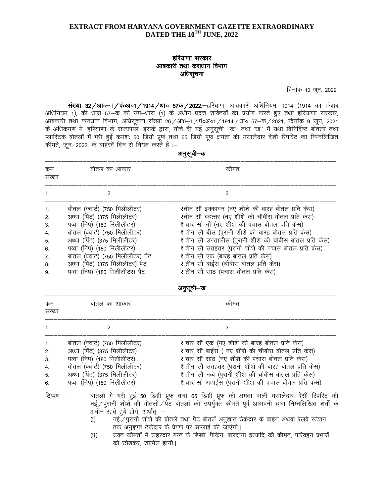# हरियाणा सरकार आबकारी तथा कराधान विभाग अधिसूचना

दिनांक 10 जून, 2022

संख्या 32/आ०–1/पं०अ०1/1914/धा० 57क/2022.–हरियाणा आबकारी अधिनियम, 1914 (1914 का पंजाब अधिनियम 1), की धारा 57-क की उप-धारा (1) के अधीन प्रदत्त शक्तियों का प्रयोग करते हुए तथा हरियाणा सरकार, आबकारी तथा कराधान विभाग, अधिसूचना संख्या 26/आ0–1/पं०अ०1/1914/धा० 57–क/2021, दिनांक 9 जून, 2021 के अधिक्रमण में, हरियाणा के राज्यपाल, इसके द्वारा, नीचे दी गई अनुसूची "क" तथा 'ख" में यथा विनिर्दिष्ट बोतलों तथा प्लास्टिक बोतलों में भरी हुई कमशः 50 डिग्री प्रूफ तथा 65 डिग्री पूफ क्षमता की मसालेदार देशी स्पिरिट का निम्नलिखित कीमते, जून, 2022, के बाहरवें दिन से नियत करते हैं :-

| कम<br>संख्या                           | बोतल का आकार                                                                                                                                                                                                                                                                                       | कीमत                                                                                                                                                                                                                                                                                                                                                                                                                                          |
|----------------------------------------|----------------------------------------------------------------------------------------------------------------------------------------------------------------------------------------------------------------------------------------------------------------------------------------------------|-----------------------------------------------------------------------------------------------------------------------------------------------------------------------------------------------------------------------------------------------------------------------------------------------------------------------------------------------------------------------------------------------------------------------------------------------|
|                                        | 2                                                                                                                                                                                                                                                                                                  | 3                                                                                                                                                                                                                                                                                                                                                                                                                                             |
| 2.<br>3.<br>4.<br>5.<br>6.<br>7.<br>8. | बोतल (क्वार्ट) (750 मिलीलीटर)<br>अध्धा (पिंट) (375 मिलीलीटर)<br>पव्वा (निप) (180 मिलीलीटर)<br>बोतल (क्वार्ट) (750 मिलीलीटर)<br>अध्धा (पिंट) (375 मिलीलीटर)<br>पव्वा (निप) (180 मिलीलीटर)<br>बोतल (क्वार्ट) (750 मिलीलीटर) पैट<br>अध्धा (पिंट) (375 मिलीलीटर) पैट<br>पव्वा (निप) (180 मिलीलीटर) पैट | ₹तीन सौ इक्कावन (नए शीशे की बारह बोतल प्रति केस)<br>रतीन सौ बहत्तर (नए शीशे की चौबीस बोतल प्रति केस)<br>र चार सौ नौ (नए शीशे की पचास बोतल प्रति केस)<br>र तीन सौ बीस (पुरानी शीशे की बारह बोतल प्रति केस)<br>र तीन सौ उनतालीस (पुरानी शीशे की चौबीस बोतल प्रति केस)<br>र तीन सौ सतहतर (पुरानी शीशे की पचास बोतल प्रति केस)<br>₹ तीन सौ एक (बारह बोतल प्रति केस)<br>र तीन सौ बाईस (चौबीस बोतल प्रति केस)<br>₹ तीन सौ साठ (पचास बोतल प्रति केस) |

#### अनुसूची–क

| નસત્ર<br>-44<br>- |  |
|-------------------|--|
|                   |  |
|                   |  |

| कम<br>सख्या                                | बोतल का आकार                                                                                                                                                                             | कीमत                                                                                                                                                                                                                                                                                                                    |
|--------------------------------------------|------------------------------------------------------------------------------------------------------------------------------------------------------------------------------------------|-------------------------------------------------------------------------------------------------------------------------------------------------------------------------------------------------------------------------------------------------------------------------------------------------------------------------|
|                                            |                                                                                                                                                                                          |                                                                                                                                                                                                                                                                                                                         |
| $\mathbf{1}$<br>2.<br>3.<br>4.<br>5.<br>6. | बोतल (क्वार्ट) (750 मिलीलीटर)<br>अध्धा (पिंट) (375 मिलीलीटर)<br>पव्वा (निप) (180 मिलीलीटर)<br>बोतल (क्वार्ट) (750 मिलीलीटर)<br>अध्धा (पिंट) (375 मिलीलीटर)<br>पव्वा (निप) (180 मिलीलीटर) | ₹ चार सौ एक (नए शीशे की बारह बोतल प्रति केस)<br>र चार सौ बाईस ( नए शीशे की चौबीस बोतल प्रति केस)<br>₹ चार सौ साठ (नए शीशे की पचास बोतल प्रति केस)<br>र तीन सौ सतहतर (पुरानी शीशे की बारह बोतल प्रति केस)<br>र तीन सौ नब्बे (पुरानी शीशे की चौबीस बोतल प्रति केस)<br>र चार सौ अठाईस (पुरानी शीशे की पचास बोतल प्रति केस) |

#### टिप्पण :-बोतलों में भरी हुई 50 डिग्री प्रूफ तथा 65 डिग्री प्रूफ की क्षमता वाली मसालेदार देसी स्पिरिट की नई / पुरानी शीशे की बोतलों / पैट बोतलों की उपर्युक्त कीमतें पूर्व आसवनी द्वारा निम्नलिखित शर्तों के अधीन रहते हये होंगे, अर्थात :--

- नई /पुरानी शीशे की बोतलें तथा पैट बोतलें अनुज्ञप्त ठेकेदार के वाहन अथवा रेलवे स्टेशन  $(i)$ तक अनुज्ञप्त ठेकेदार के प्रेषण पर सप्लाई की जाएंगी।
- उक्त कोमतों में लहरदार गत्ते के डिब्बों, पैकिंग, बारदाना इत्यादि की कीमत, परिवहन प्रभारों  $(ii)$ को छोडकर, शामिल होगी।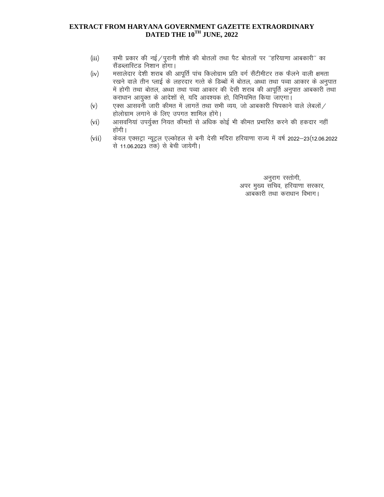- सभी प्रकार की नई / पुरानी शीशे की बोतलों तथा पैट बोतलों पर ''हरियाणा आबकारी'' का  $(iii)$ सैंडब्लास्टिड निशान होगा।
- मसालेदार देशी शराब की आपूर्ति पांच किलोग्राम प्रति वर्ग सैंटीमीटर तक फैलने वाली क्षमता  $(iv)$ रखने वाले तीन प्लाई के लहरदार गत्ते के डिब्बों में बोतल, अध्धा तथा पव्वा आकार के अनुपात में होगी तथा बोतल, अध्धा तथा पव्वा आकार की देसी शराब की आपूर्ति अनुपात आबकारी तथा कराधान आयुक्त के आदेशों से, यदि आवश्यक हो, विनियमित किया जाएगा।
- एक्स आसवनी जारी कीमत में लागतें तथा सभी व्यय, जो आबकारी चिपकाने वाले लेबलों /  $(v)$ होलोग्राम लगाने के लिए उपगत शामिल होंगे।
- आसवनियां उपर्युक्त नियत कीमतों से अधिक कोई भी कीमत प्रभारित करने की हकदार नहीं  $(vi)$ होंगी ।
- केवल एक्सट्रा न्यूट्रल एल्कोहल से बनी देसी मदिरा हरियाणा राज्य में वर्ष 2022–23(12.06.2022  $(vii)$ से 11.06.2023 तक) से बेची जायेगी।

अनुराग रस्तोगी, अपर मुख्य सचिव, हरियाणा सरकार, आबकारी तथा कराधान विभाग।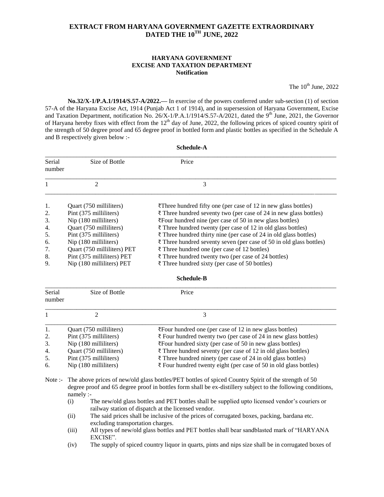#### **HARYANA GOVERNMENT EXCISE AND TAXATION DEPARTMENT Notification**

The  $10^{th}$  June, 2022

**No.32/X-1/P.A.1/1914/S.57-A/2022.—** In exercise of the powers conferred under sub-section (1) of section 57-A of the Haryana Excise Act, 1914 (Punjab Act 1 of 1914), and in supersession of Haryana Government, Excise and Taxation Department, notification No.  $26/X-1/P.A.1/1914/S.57-A/2021$ , dated the 9<sup>th</sup> June, 2021, the Governor of Haryana hereby fixes with effect from the  $12<sup>th</sup>$  day of June, 2022, the following prices of spiced country spirit of the strength of 50 degree proof and 65 degree proof in bottled form and plastic bottles as specified in the Schedule A and B respectively given below :-

**Schedule-A**

| Serial<br>number | Size of Bottle              | Price                                                                          |  |  |  |
|------------------|-----------------------------|--------------------------------------------------------------------------------|--|--|--|
|                  | 2                           | 3                                                                              |  |  |  |
| 1.               | Ouart (750 milliliters)     | $\overline{\xi}$ Three hundred fifty one (per case of 12 in new glass bottles) |  |  |  |
| 2.               | Pint (375 milliliters)      | ₹ Three hundred seventy two (per case of 24 in new glass bottles)              |  |  |  |
| 3.               | Nip (180 milliliters)       | $\overline{\xi}$ Four hundred nine (per case of 50 in new glass bottles)       |  |  |  |
| 4.               | Quart (750 milliliters)     | ₹ Three hundred twenty (per case of 12 in old glass bottles)                   |  |  |  |
| 5.               | Pint (375 milliliters)      | $\bar{\tau}$ Three hundred thirty nine (per case of 24 in old glass bottles)   |  |  |  |
| 6.               | Nip (180 milliliters)       | $\bar{\tau}$ Three hundred seventy seven (per case of 50 in old glass bottles) |  |  |  |
| 7.               | Quart (750 milliliters) PET | ₹ Three hundred one (per case of 12 bottles)                                   |  |  |  |
| 8.               | Pint (375 milliliters) PET  | ₹ Three hundred twenty two (per case of 24 bottles)                            |  |  |  |
| 9.               | Nip (180 milliliters) PET   | ₹ Three hundred sixty (per case of 50 bottles)                                 |  |  |  |

| <b>Schedule-B</b> |  |
|-------------------|--|
|-------------------|--|

| Serial<br>number | Size of Bottle          | Price                                                                        |
|------------------|-------------------------|------------------------------------------------------------------------------|
|                  |                         |                                                                              |
| 1.               | Quart (750 milliliters) | $\overline{z}$ Four hundred one (per case of 12 in new glass bottles)        |
| 2.               | Pint (375 milliliters)  | $\bar{\tau}$ Four hundred twenty two (per case of 24 in new glass bottles)   |
| 3.               | Nip (180 milliliters)   | $\overline{\xi}$ Four hundred sixty (per case of 50 in new glass bottles)    |
| 4.               | Quart (750 milliliters) | ₹ Three hundred seventy (per case of 12 in old glass bottles)                |
| 5.               | Pint (375 milliliters)  | ₹ Three hundred ninety (per case of 24 in old glass bottles)                 |
| 6.               | Nip (180 milliliters)   | $\bar{\tau}$ Four hundred twenty eight (per case of 50 in old glass bottles) |

Note :- The above prices of new/old glass bottles/PET bottles of spiced Country Spirit of the strength of 50 degree proof and 65 degree proof in bottles form shall be ex-distillery subject to the following conditions, namely :-

- (i) The new/old glass bottles and PET bottles shall be supplied upto licensed vendor's couriers or railway station of dispatch at the licensed vendor.
- (ii) The said prices shall be inclusive of the prices of corrugated boxes, packing, bardana etc. excluding transportation charges.
- (iii) All types of new/old glass bottles and PET bottles shall bear sandblasted mark of "HARYANA EXCISE".
- (iv) The supply of spiced country liquor in quarts, pints and nips size shall be in corrugated boxes of